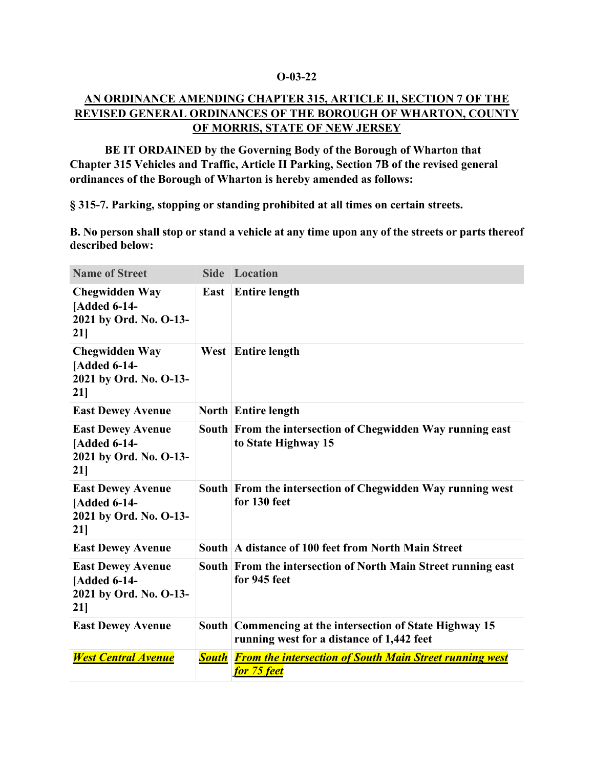## **O-03-22**

## **AN ORDINANCE AMENDING CHAPTER 315, ARTICLE II, SECTION 7 OF THE REVISED GENERAL ORDINANCES OF THE BOROUGH OF WHARTON, COUNTY OF MORRIS, STATE OF NEW JERSEY**

**BE IT ORDAINED by the Governing Body of the Borough of Wharton that Chapter 315 Vehicles and Traffic, Article II Parking, Section 7B of the revised general ordinances of the Borough of Wharton is hereby amended as follows:**

**§ 315-7. Parking, stopping or standing prohibited at all times on certain streets.**

**B. No person shall stop or stand a vehicle at any time upon any of the streets or parts thereof described below:**

| <b>Name of Street</b>                                                               |              | <b>Side Location</b>                                                                                  |
|-------------------------------------------------------------------------------------|--------------|-------------------------------------------------------------------------------------------------------|
| <b>Chegwidden Way</b><br><b>[Added 6-14-</b><br>2021 by Ord. No. O-13-<br>21]       | East         | <b>Entire length</b>                                                                                  |
| <b>Chegwidden Way</b><br><b>[Added 6-14-</b><br>2021 by Ord. No. O-13-<br>21]       |              | West Entire length                                                                                    |
| <b>East Dewey Avenue</b>                                                            |              | <b>North Entire length</b>                                                                            |
| <b>East Dewey Avenue</b><br>[Added 6-14-<br>2021 by Ord. No. O-13-<br>21]           |              | South From the intersection of Chegwidden Way running east<br>to State Highway 15                     |
| <b>East Dewey Avenue</b><br><b>[Added 6-14-</b><br>2021 by Ord. No. O-13-<br>$21$ ] |              | South From the intersection of Chegwidden Way running west<br>for 130 feet                            |
| <b>East Dewey Avenue</b>                                                            |              | South A distance of 100 feet from North Main Street                                                   |
| <b>East Dewey Avenue</b><br><b>[Added 6-14-</b><br>2021 by Ord. No. O-13-<br>21]    |              | South From the intersection of North Main Street running east<br>for 945 feet                         |
| <b>East Dewey Avenue</b>                                                            |              | South Commencing at the intersection of State Highway 15<br>running west for a distance of 1,442 feet |
| <b>West Central Avenue</b>                                                          | <b>South</b> | <b>From the intersection of South Main Street running west</b><br>for 75 feet                         |